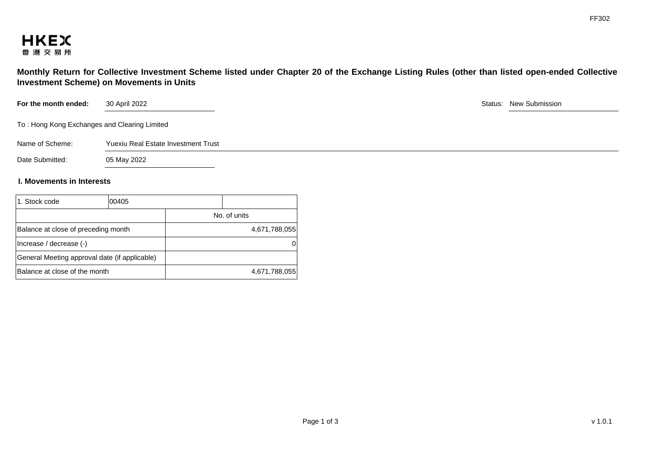

**Monthly Return for Collective Investment Scheme listed under Chapter 20 of the Exchange Listing Rules (other than listed open-ended Collective Investment Scheme) on Movements in Units** 

| For the month ended:                         | 30 April 2022                       |  | Status: New Submission |
|----------------------------------------------|-------------------------------------|--|------------------------|
| To: Hong Kong Exchanges and Clearing Limited |                                     |  |                        |
| Name of Scheme:                              | Yuexiu Real Estate Investment Trust |  |                        |
| Date Submitted:                              | 05 May 2022                         |  |                        |

## **I. Movements in Interests**

| 1. Stock code                       | 00405                                         |               |
|-------------------------------------|-----------------------------------------------|---------------|
|                                     |                                               | No. of units  |
| Balance at close of preceding month |                                               | 4,671,788,055 |
| (-) Increase / decrease             |                                               |               |
|                                     | General Meeting approval date (if applicable) |               |
| Balance at close of the month       |                                               | 4,671,788,055 |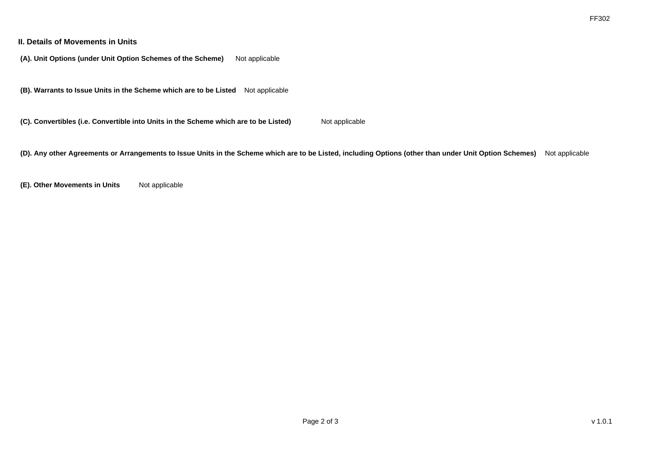## **II. Details of Movements in Units**

**(A). Unit Options (under Unit Option Schemes of the Scheme)** Not applicable

**(B). Warrants to Issue Units in the Scheme which are to be Listed** Not applicable

**(C). Convertibles (i.e. Convertible into Units in the Scheme which are to be Listed)** Not applicable

**(D). Any other Agreements or Arrangements to Issue Units in the Scheme which are to be Listed, including Options (other than under Unit Option Schemes)** Not applicable

**(E). Other Movements in Units** Not applicable